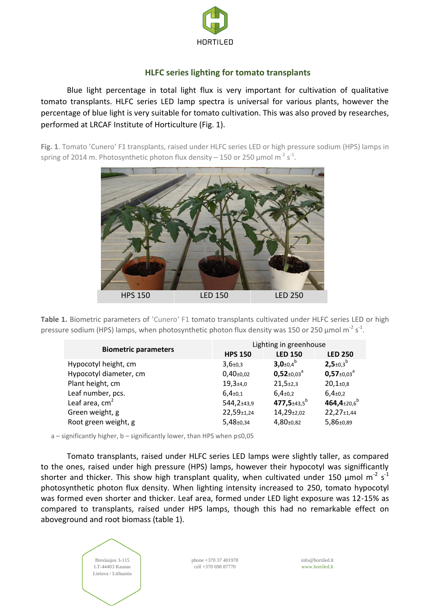

# **HLFC series lighting for tomato transplants**

Blue light percentage in total light flux is very important for cultivation of qualitative tomato transplants. HLFC series LED lamp spectra is universal for various plants, however the percentage of blue light is very suitable for tomato cultivation. This was also proved by researches, performed at LRCAF Institute of Horticulture (Fig. 1).

**Fig. 1**. Tomato 'Cunero' F1 transplants, raised under HLFC series LED or high pressure sodium (HPS) lamps in spring of 2014 m. Photosynthetic photon flux density – 150 or 250  $\mu$ mol m<sup>-2</sup> s<sup>-1</sup>.



Table 1. Biometric parameters of 'Cunero' F1 tomato transplants cultivated under HLFC series LED or high pressure sodium (HPS) lamps, when photosynthetic photon flux density was 150 or 250  $\mu$ mol m<sup>-2</sup> s<sup>-1</sup>.

| <b>Biometric parameters</b> | Lighting in greenhouse       |                                |                               |  |
|-----------------------------|------------------------------|--------------------------------|-------------------------------|--|
|                             | <b>HPS 150</b>               | <b>LED 150</b>                 | <b>LED 250</b>                |  |
| Hypocotyl height, cm        | $3,6{\scriptstyle \pm0,3}$   | $3,0_{\pm 0,4}{}^{b}$          | $2,5+0,3^b$                   |  |
| Hypocotyl diameter, cm      | $0,40_{\pm 0,02}$            | $0,52_{\pm 0.03}$ <sup>a</sup> | $0,57_{\pm0,03}$ <sup>a</sup> |  |
| Plant height, cm            | $19,3{\scriptstyle \pm4,0}$  | $21,5+2,3$                     | $20,1+0,8$                    |  |
| Leaf number, pcs.           | $6,4{\scriptstyle \pm0,1}$   | $6,4{\scriptstyle \pm0,2}$     | $6,4{\scriptstyle \pm0,2}$    |  |
| Leaf area, $cm2$            | 544,2±43,9                   | 477,5 $\pm$ 43,5 <sup>b</sup>  | 464,4 $\pm$ 20,6 <sup>b</sup> |  |
| Green weight, g             | 22,59±1,24                   | 14,29±2,02                     | 22,27±1,44                    |  |
| Root green weight, g        | $5,48{\scriptstyle \pm0,34}$ | $4,80+0,82$                    | $5,86{\scriptstyle \pm0.89}$  |  |

a – significantly higher, b – significantly lower, than HPS when p≤0,05

Tomato transplants, raised under HLFC series LED lamps were slightly taller, as compared to the ones, raised under high pressure (HPS) lamps, however their hypocotyl was signifficantly shorter and thicker. This show high transplant quality, when cultivated under 150  $\mu$ mol m<sup>-2</sup> s<sup>-1</sup> photosynthetic photon flux density. When lighting intensity increased to 250, tomato hypocotyl was formed even shorter and thicker. Leaf area, formed under LED light exposure was 12-15% as compared to transplants, raised under HPS lamps, though this had no remarkable effect on aboveground and root biomass (table 1).



phone +370 37 401978 cell +370 698 87770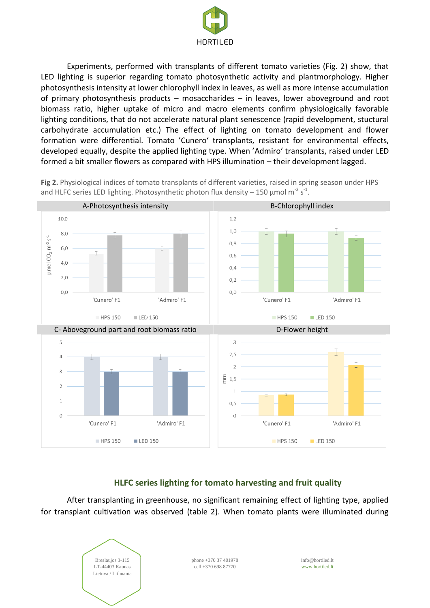

Experiments, performed with transplants of different tomato varieties (Fig. 2) show, that LED lighting is superior regarding tomato photosynthetic activity and plantmorphology. Higher photosynthesis intensity at lower chlorophyll index in leaves, as well as more intense accumulation of primary photosynthesis products – mosaccharides – in leaves, lower aboveground and root biomass ratio, higher uptake of micro and macro elements confirm physiologically favorable lighting conditions, that do not accelerate natural plant senescence (rapid development, stuctural carbohydrate accumulation etc.) The effect of lighting on tomato development and flower formation were differential. Tomato 'Cunero' transplants, resistant for environmental effects, developed equally, despite the applied lighting type. When 'Admiro' transplants, raised under LED formed a bit smaller flowers as compared with HPS illumination – their development lagged.

A-Photosynthesis intensity B-Chlorophyll index 10,0  $1,2$  $1.0$ 8,0  $\mu$ mol CO<sub>2</sub> m<sup>-2</sup> s<sup>-1</sup>  $0.8$  $6.0$ I Τ  $0.6$  $4.0$  $04$  $2.0$  $0.2$  $0,0$  $0,0$ 'Cunero' F1 'Admiro' F1 'Cunero' F1 'Admiro' F1 LED 150 HPS 150  $IFD 150$ **HPS 150** C- Aboveground part and root biomass ratio D-Flower height 5  $\overline{3}$  $2,5$  $\angle$  $\overline{\mathbf{z}}$ þ  $\frac{5}{5}$  1,5  $\mathbf{1}$  $0, 5$  $\sqrt{ }$  $\overline{0}$ 'Cunero' F1 'Admiro' F1 'Cunero' F1 'Admiro' F1 LED 150 **HPS 150 HPS 150**  $IFD$  150

**Fig 2.** Physiological indices of tomato transplants of different varieties, raised in spring season under HPS and HLFC series LED lighting. Photosynthetic photon flux density - 150  $\mu$ mol m<sup>-2</sup> s<sup>-1</sup>.

## **HLFC series lighting for tomato harvesting and fruit quality**

After transplanting in greenhouse, no significant remaining effect of lighting type, applied for transplant cultivation was observed (table 2). When tomato plants were illuminated during



phone +370 37 401978 cell +370 698 87770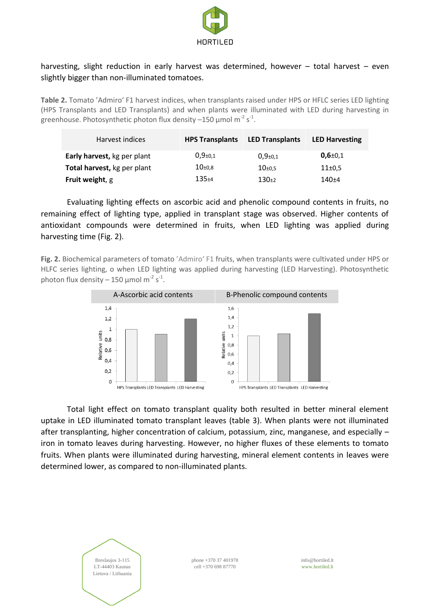

# harvesting, slight reduction in early harvest was determined, however - total harvest - even slightly bigger than non-illuminated tomatoes.

**Table 2.** Tomato 'Admiro' F1 harvest indices, when transplants raised under HPS or HFLC series LED lighting (HPS Transplants and LED Transplants) and when plants were illuminated with LED during harvesting in greenhouse. Photosynthetic photon flux density  $-150$  µmol m<sup>-2</sup> s<sup>-1</sup>.

| Harvest indices             | <b>HPS Transplants</b> | <b>LED Transplants</b>     | <b>LED Harvesting</b> |
|-----------------------------|------------------------|----------------------------|-----------------------|
| Early harvest, kg per plant | $0,9_{\pm 0,1}$        | $0.9{\scriptstyle \pm0.1}$ | $0,6{\pm}0.1$         |
| Total harvest, kg per plant | $10_{\pm 0.8}$         | $10_{\pm 0.5}$             | 11 <sub>±0,5</sub>    |
| Fruit weight, g             | $135 + 4$              | $130+2$                    | $140+4$               |

Evaluating lighting effects on ascorbic acid and phenolic compound contents in fruits, no remaining effect of lighting type, applied in transplant stage was observed. Higher contents of antioxidant compounds were determined in fruits, when LED lighting was applied during harvesting time (Fig. 2).

**Fig. 2.** Biochemical parameters of tomato 'Admiro' F1 fruits, when transplants were cultivated under HPS or HLFC series lighting, o when LED lighting was applied during harvesting (LED Harvesting). Photosynthetic photon flux density – 150  $\mu$ mol m<sup>-2</sup> s<sup>-1</sup>.



Total light effect on tomato transplant quality both resulted in better mineral element uptake in LED illuminated tomato transplant leaves (table 3). When plants were not illuminated after transplanting, higher concentration of calcium, potassium, zinc, manganese, and especially – iron in tomato leaves during harvesting. However, no higher fluxes of these elements to tomato fruits. When plants were illuminated during harvesting, mineral element contents in leaves were determined lower, as compared to non-illuminated plants.



phone +370 37 401978 cell +370 698 87770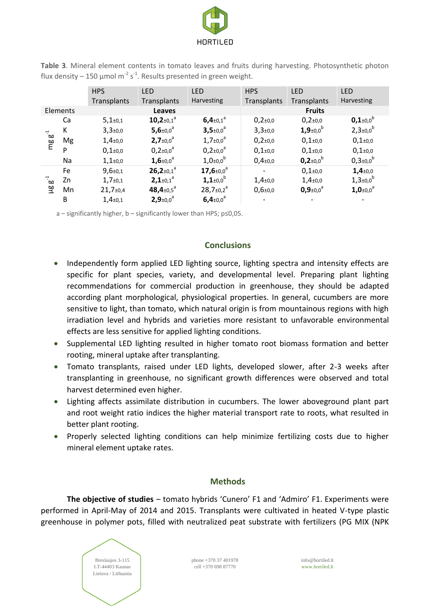

|            |    | <b>HPS</b>                  | <b>LED</b>                         | <b>LED</b>                          | <b>HPS</b>                 | <b>LED</b>                         | <b>LED</b>                         |
|------------|----|-----------------------------|------------------------------------|-------------------------------------|----------------------------|------------------------------------|------------------------------------|
|            |    | Transplants                 | Transplants                        | Harvesting                          | Transplants                | Transplants                        | Harvesting                         |
| Elements   |    |                             | <b>Leaves</b>                      |                                     |                            | <b>Fruits</b>                      |                                    |
| $mgg^{-1}$ | Ca | $5,1+0,1$                   | $10,2_{\pm0,1}$ <sup>a</sup>       | $6,4{\scriptstyle \pm0.1}^{\circ}$  | $0,2{\scriptstyle \pm}0,0$ | $0,2{\scriptstyle \pm}0,0$         | $0,1_{\pm 0,0}{}^{b}$              |
|            | К  | $3,3{\scriptstyle \pm0,0}$  | 5,6 $\pm 0.0$ <sup>a</sup>         | $3,5 \pm 0.0$ <sup>a</sup>          | $3,3{\scriptstyle \pm0,0}$ | $1,9{\scriptstyle \pm0,0}^{\rm b}$ | $2,3{\scriptstyle \pm0.0}^{\rm b}$ |
|            | Mg | $1,4{\scriptstyle \pm0.0}$  | $2,7{\scriptstyle \pm0.0}^{\circ}$ | $1,7{\scriptstyle \pm0,0}^{\rm a}$  | $0,2{\scriptstyle \pm}0,0$ | $0,1{\scriptstyle \pm0,0}$         | $0,1{\scriptstyle \pm0,0}$         |
|            | P  | $0,1{\scriptstyle \pm0,0}$  | $0,2{\pm}0,0^a$                    | $0,2{\pm}0.0^a$                     | $0,1{\scriptstyle \pm0,0}$ | $0,1{\scriptstyle \pm0,0}$         | $0,1+0,0$                          |
|            | Na | $1,1{\scriptstyle \pm0,0}$  | $1,6{\scriptstyle \pm0,0}^{\circ}$ | $1,0{\scriptstyle \pm0,0}^{\rm b}$  | $0,4{\scriptstyle \pm0,0}$ | $0,2_{\pm 0,0}$ <sup>b</sup>       | $0,3{\scriptstyle \pm0,0}^{\rm b}$ |
| ്ക<br>알    | Fe | $9,6{\scriptstyle \pm0,1}$  | $26,2_{\pm0,1}$ <sup>a</sup>       | $17,6{\scriptstyle \pm0.0}^{\circ}$ |                            | $0,1+0,0$                          | $1,4{\scriptstyle \pm0.0}$         |
|            | Zn | $1,7+0,1$                   | $2,1+0,1^a$                        | $1,1_{\pm 0,0}$ <sup>b</sup>        | $1,4{\scriptstyle \pm0,0}$ | $1,4{\scriptstyle \pm0,0}$         | $1,3{\scriptstyle \pm0,0}^{\rm b}$ |
|            | Mn | $21,7{\scriptstyle \pm0,4}$ | 48,4 $\pm$ 0,5 <sup>a</sup>        | $28,7{\scriptstyle \pm0,2}^{\rm a}$ | $0,6{\scriptstyle \pm0,0}$ | $0,9{\scriptstyle \pm0,0}^{\rm a}$ | $1,0_{\pm 0,0}$ <sup>a</sup>       |
|            | B  | $1,4{\scriptstyle \pm0,1}$  | $2,9{\scriptstyle \pm0,0}^{\circ}$ | $6,4{\scriptstyle \pm0,0}^{\circ}$  |                            |                                    |                                    |

**Table 3**. Mineral element contents in tomato leaves and fruits during harvesting. Photosynthetic photon flux density – 150 µmol m<sup>-2</sup> s<sup>-1</sup>. Results presented in green weight.

a – significantly higher, b – significantly lower than HPS; p≤0,05.

#### **Conclusions**

- Independently form applied LED lighting source, lighting spectra and intensity effects are specific for plant species, variety, and developmental level. Preparing plant lighting recommendations for commercial production in greenhouse, they should be adapted according plant morphological, physiological properties. In general, cucumbers are more sensitive to light, than tomato, which natural origin is from mountainous regions with high irradiation level and hybrids and varieties more resistant to unfavorable environmental effects are less sensitive for applied lighting conditions.
- Supplemental LED lighting resulted in higher tomato root biomass formation and better rooting, mineral uptake after transplanting.
- Tomato transplants, raised under LED lights, developed slower, after 2-3 weeks after transplanting in greenhouse, no significant growth differences were observed and total harvest determined even higher.
- Lighting affects assimilate distribution in cucumbers. The lower aboveground plant part and root weight ratio indices the higher material transport rate to roots, what resulted in better plant rooting.
- Properly selected lighting conditions can help minimize fertilizing costs due to higher mineral element uptake rates.

## **Methods**

**The objective of studies** – tomato hybrids 'Cunero' F1 and 'Admiro' F1. Experiments were performed in April-May of 2014 and 2015. Transplants were cultivated in heated V-type plastic greenhouse in polymer pots, filled with neutralized peat substrate with fertilizers (PG MIX (NPK

> Breslaujos 3-115 LT-44403 Kaunas Lietuva / Lithuania

phone +370 37 401978 cell +370 698 87770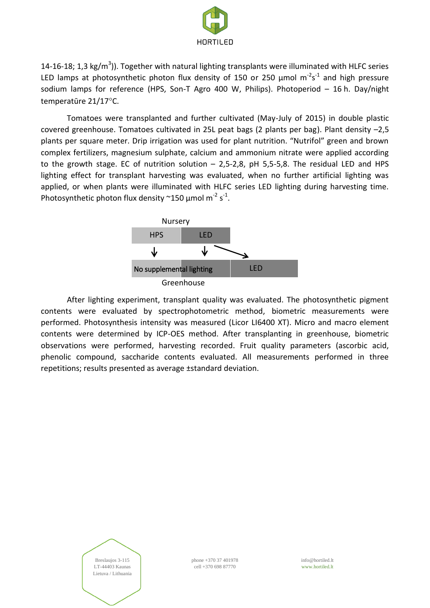

14-16-18; 1,3 kg/m<sup>3</sup>)). Together with natural lighting transplants were illuminated with HLFC series LED lamps at photosynthetic photon flux density of 150 or 250  $\mu$ mol m<sup>-2</sup>s<sup>-1</sup> and high pressure sodium lamps for reference (HPS, Son-T Agro 400 W, Philips). Photoperiod – 16 h. Day/night temperatūre 21/17°C.

Tomatoes were transplanted and further cultivated (May-July of 2015) in double plastic covered greenhouse. Tomatoes cultivated in 25L peat bags (2 plants per bag). Plant density –2,5 plants per square meter. Drip irrigation was used for plant nutrition. "Nutrifol" green and brown complex fertilizers, magnesium sulphate, calcium and ammonium nitrate were applied according to the growth stage. EC of nutrition solution – 2,5-2,8, pH 5,5-5,8. The residual LED and HPS lighting effect for transplant harvesting was evaluated, when no further artificial lighting was applied, or when plants were illuminated with HLFC series LED lighting during harvesting time. Photosynthetic photon flux density  $\sim$ 150 µmol m<sup>-2</sup> s<sup>-1</sup>.



After lighting experiment, transplant quality was evaluated. The photosynthetic pigment contents were evaluated by spectrophotometric method, biometric measurements were performed. Photosynthesis intensity was measured (Licor LI6400 XT). Micro and macro element contents were determined by ICP-OES method. After transplanting in greenhouse, biometric observations were performed, harvesting recorded. Fruit quality parameters (ascorbic acid, phenolic compound, saccharide contents evaluated. All measurements performed in three repetitions; results presented as average ±standard deviation.

> Breslaujos 3-115 LT-44403 Kaunas Lietuva / Lithuania

phone +370 37 401978 cell +370 698 87770